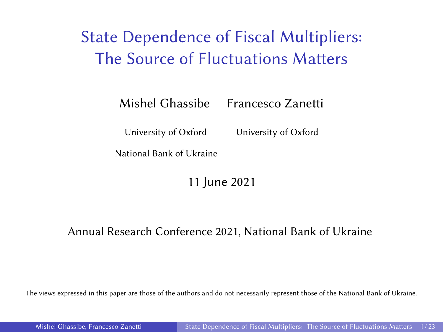# <span id="page-0-0"></span>State Dependence of Fiscal Multipliers: The Source of Fluctuations Matters

Mishel Ghassibe Francesco Zanetti

University of Oxford University of Oxford

National Bank of Ukraine

11 June 2021

#### Annual Research Conference 2021, National Bank of Ukraine

The views expressed in this paper are those of the authors and do not necessarily represent those of the National Bank of Ukraine.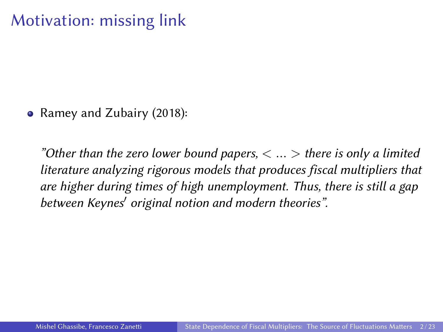## Motivation: missing link

• Ramey and Zubairy (2018):

"Other than the zero lower bound papers,  $\langle \dots \rangle$  there is only a limited literature analyzing rigorous models that produces fiscal multipliers that are higher during times of high unemployment. Thus, there is still a gap between Keynes' original notion and modern theories".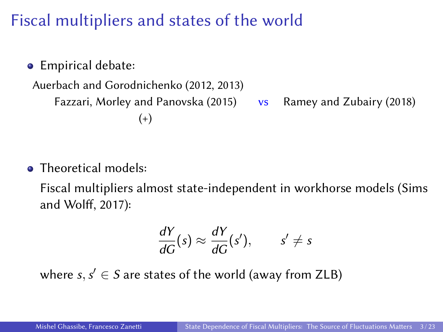# Fiscal multipliers and states of the world

**•** Empirical debate:

```
Auerbach and Gorodnichenko (2012, 2013)
   Fazzari, Morley and Panovska (2015) vs Ramey and Zubairy (2018)
                   (+)
```
• Theoretical models:

Fiscal multipliers almost state-independent in workhorse models (Sims and Wolff, 2017):

$$
\frac{dY}{dG}(s) \approx \frac{dY}{dG}(s'), \qquad s' \neq s
$$

where  $s, s' \in S$  are states of the world (away from ZLB)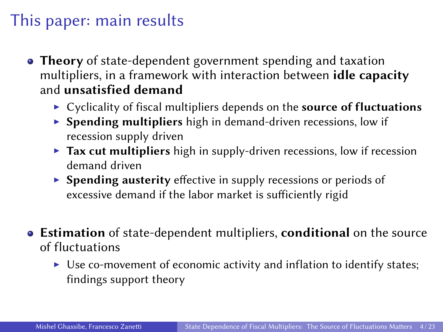#### This paper: main results

- Theory of state-dependent government spending and taxation multipliers, in a framework with interaction between idle capacity and unsatisfied demand
	- $\triangleright$  Cyclicality of fiscal multipliers depends on the source of fluctuations
	- $\triangleright$  Spending multipliers high in demand-driven recessions, low if recession supply driven
	- $\triangleright$  Tax cut multipliers high in supply-driven recessions, low if recession demand driven
	- $\triangleright$  Spending austerity effective in supply recessions or periods of excessive demand if the labor market is sufficiently rigid
- Estimation of state-dependent multipliers, conditional on the source of fluctuations
	- $\triangleright$  Use co-movement of economic activity and inflation to identify states; findings support theory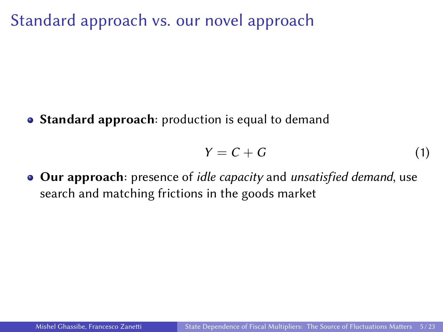Standard approach vs. our novel approach

• Standard approach: production is equal to demand

$$
Y = C + G \tag{1}
$$

• Our approach: presence of *idle capacity* and *unsatisfied demand*, use search and matching frictions in the goods market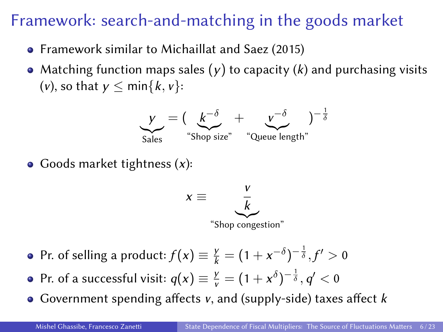## Framework: search-and-matching in the goods market

- Framework similar to Michaillat and Saez (2015)
- Matching function maps sales  $(y)$  to capacity  $(k)$  and purchasing visits (*v*), so that  $v \leq \min\{k, v\}$ :



• Goods market tightness  $(x)$ :



- Pr. of selling a product:  $f(x) \equiv \frac{y}{k} = (1 + x^{-\delta})^{-\frac{1}{\delta}}, f' > 0$
- Pr. of a successful visit:  $q(x) \equiv \frac{y}{v} = (1 + x^{\delta})^{-\frac{1}{\delta}}, q' < 0$
- Government spending affects  $v$ , and (supply-side) taxes affect  $k$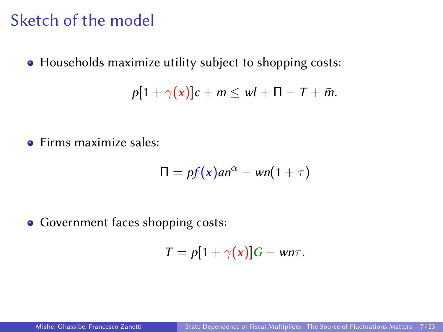#### Sketch of the model

Households maximize utility subject to shopping costs:

$$
p[1+\gamma(x)]c+m\leq wl+\Pi-T+\bar{m}.
$$

**•** Firms maximize sales:

$$
\Pi = pf(x)an^{\alpha} - wn(1+\tau)
$$

• Government faces shopping costs:

$$
T = p[1 + \gamma(x)]G - w n \tau.
$$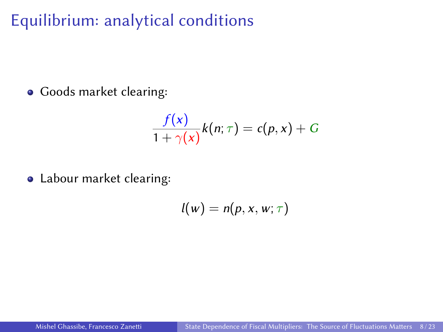# Equilibrium: analytical conditions

Goods market clearing:

$$
\frac{f(x)}{1+\gamma(x)}k(n;\tau)=c(p,x)+G
$$

Labour market clearing:

$$
l(w)=n(p,x,w;\tau)
$$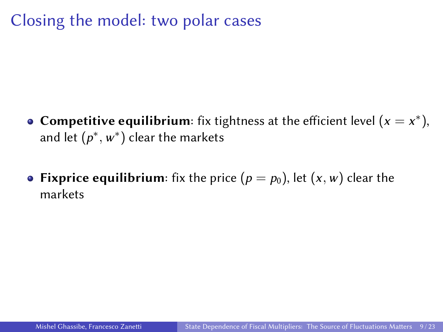# Closing the model: two polar cases

- **Competitive equilibrium**: fix tightness at the efficient level  $(x = x^*)$ , and let  $(p^*,w^*)$  clear the markets
- Fixprice equilibrium: fix the price  $(p = p_0)$ , let  $(x, w)$  clear the markets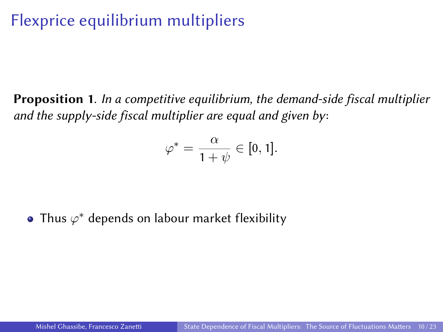# Flexprice equilibrium multipliers

Proposition 1. In a competitive equilibrium, the demand-side fiscal multiplier and the supply-side fiscal multiplier are equal and given by:

$$
\varphi^* = \frac{\alpha}{1+\psi} \in [0,1].
$$

Thus  $\varphi^*$  depends on labour market flexibility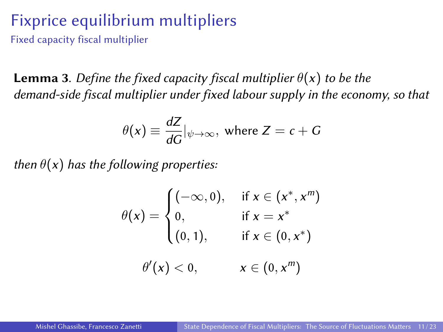#### Fixprice equilibrium multipliers

Fixed capacity fiscal multiplier

**Lemma 3**. Define the fixed capacity fiscal multiplier  $\theta(x)$  to be the demand-side fiscal multiplier under fixed labour supply in the economy, so that

$$
\theta(x) \equiv \frac{dZ}{dG}|_{\psi \to \infty}, \text{ where } Z = c + G
$$

then  $\theta(x)$  has the following properties:

$$
\theta(x) = \begin{cases}\n(-\infty, 0), & \text{if } x \in (x^*, x^m) \\
0, & \text{if } x = x^* \\
(0, 1), & \text{if } x \in (0, x^*)\n\end{cases}
$$
\n
$$
\theta'(x) < 0, \quad x \in (0, x^m)
$$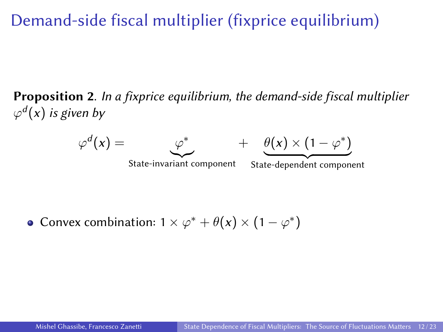# Demand-side fiscal multiplier (fixprice equilibrium)

Proposition 2. In a fixprice equilibrium, the demand-side fiscal multiplier  $\varphi^d(x)$  is given by



Convex combination:  $1 \times \varphi^* + \theta(x) \times (1 - \varphi^*)$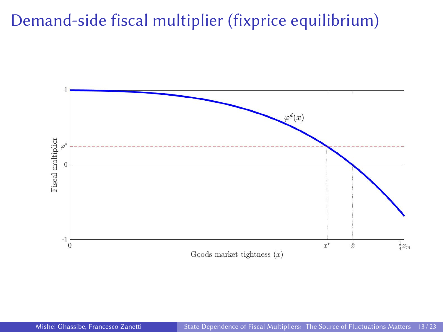## Demand-side fiscal multiplier (fixprice equilibrium)

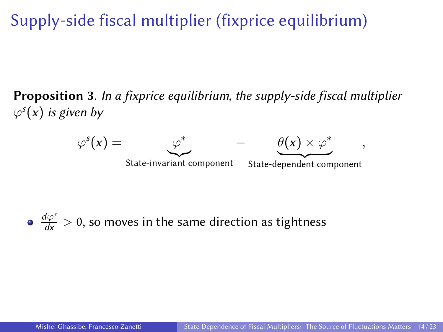Supply-side fiscal multiplier (fixprice equilibrium)

Proposition 3. In a fixprice equilibrium, the supply-side fiscal multiplier  $\varphi^s(x)$  is given by



• 
$$
\frac{d\varphi^s}{dx} > 0
$$
, so moves in the same direction as tightness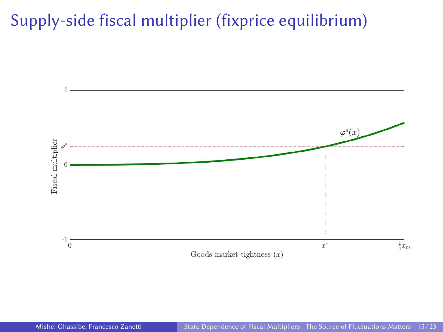# Supply-side fiscal multiplier (fixprice equilibrium)

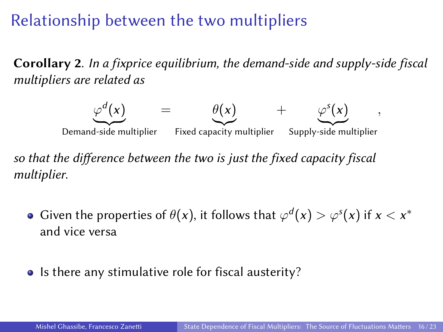## Relationship between the two multipliers

Corollary 2. In a fixprice equilibrium, the demand-side and supply-side fiscal multipliers are related as



so that the difference between the two is just the fixed capacity fiscal multiplier.

- Given the properties of  $\theta(x)$ , it follows that  $\varphi^d(x) > \varphi^s(x)$  if  $x < x^*$ and vice versa
- Is there any stimulative role for fiscal austerity?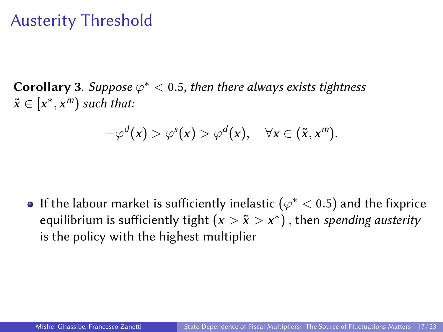#### Austerity Threshold

**Corollary 3.** Suppose  $\varphi^* < 0.5$ , then there always exists tightness  $\tilde{x} \in [x^*, x^m)$  such that:

$$
-\varphi^d(x) > \varphi^s(x) > \varphi^d(x), \quad \forall x \in (\tilde{x}, x^m).
$$

If the labour market is sufficiently inelastic  $(\varphi^* < 0.5)$  and the fixprice equilibrium is sufficiently tight  $(x > \tilde x > x^*)$  , then *spending austerity* is the policy with the highest multiplier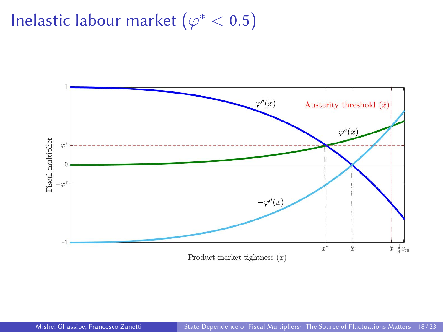# Inelastic labour market  $(\varphi^* < 0.5)$

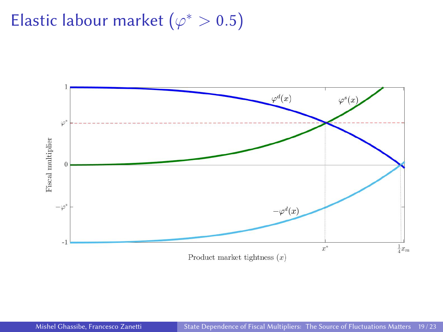# Elastic labour market ( $\varphi^* > 0.5$ )

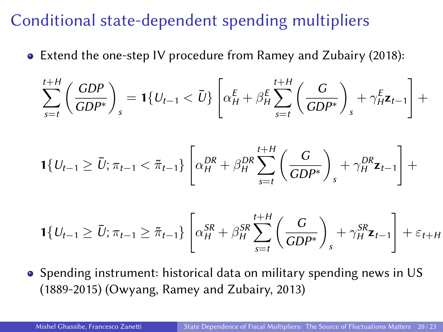## Conditional state-dependent spending multipliers

Extend the one-step IV procedure from Ramey and Zubairy (2018):

$$
\sum_{s=t}^{t+H} \left( \frac{GDP}{GDP^*} \right)_s = \mathbf{1} \{ U_{t-1} < \bar{U} \} \left[ \alpha_H^E + \beta_H^E \sum_{s=t}^{t+H} \left( \frac{G}{GDP^*} \right)_s + \gamma_H^E \mathbf{z}_{t-1} \right] +
$$

$$
\mathbf{1}\{U_{t-1} \ge \bar{U}; \pi_{t-1} < \tilde{\pi}_{t-1}\}\left[\alpha_H^{DR} + \beta_H^{DR} \sum_{s=t}^{t+H} \left(\frac{G}{GDP^*}\right)_s + \gamma_H^{DR} \mathbf{z}_{t-1}\right] +
$$

$$
\mathbf{1}\{U_{t-1}\geq \bar{U};\pi_{t-1}\geq \tilde{\pi}_{t-1}\}\left[\alpha_H^{SR}+\beta_H^{SR}\sum_{s=t}^{t+H}\left(\frac{G}{GDP^*}\right)_s+\gamma_H^{SR}\mathbf{z}_{t-1}\right]+\varepsilon_{t+H}
$$

• Spending instrument: historical data on military spending news in US (1889-2015) (Owyang, Ramey and Zubairy, 2013)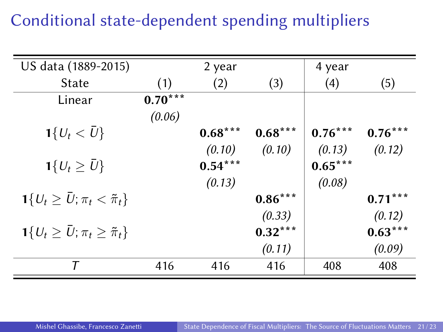# Conditional state-dependent spending multipliers

| US data (1889-2015)                                      |           | 2 year    |           | 4 year    |           |
|----------------------------------------------------------|-----------|-----------|-----------|-----------|-----------|
| State                                                    | (1)       | (2)       | (3)       | (4)       | (5)       |
| Linear                                                   | $0.70***$ |           |           |           |           |
|                                                          | (0.06)    |           |           |           |           |
| $1\{U_t < \bar{U}\}\$                                    |           | $0.68***$ | $0.68***$ | $0.76***$ | $0.76***$ |
|                                                          |           | (0.10)    | (0.10)    | (0.13)    | (0.12)    |
| $1\{U_t\geq \bar{U}\}\$                                  |           | $0.54***$ |           | $0.65***$ |           |
|                                                          |           | (0.13)    |           | (0.08)    |           |
| $1\{U_t \ge \bar{U}; \pi_t < \tilde{\pi}_t\}$            |           |           | $0.86***$ |           | $0.71***$ |
|                                                          |           |           | (0.33)    |           | (0.12)    |
| $\mathbf{1}{U_t \geq \bar{U}}; \pi_t \geq \tilde{\pi}_t$ |           |           | $0.32***$ |           | $0.63***$ |
|                                                          |           |           | (0.11)    |           | (0.09)    |
| т                                                        | 416       | 416       | 416       | 408       | 408       |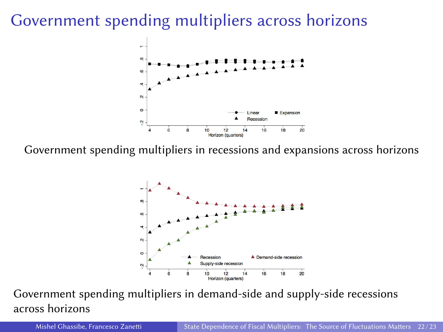## Government spending multipliers across horizons



Government spending multipliers in recessions and expansions across horizons



Government spending multipliers in demand-side and supply-side recessions across horizons